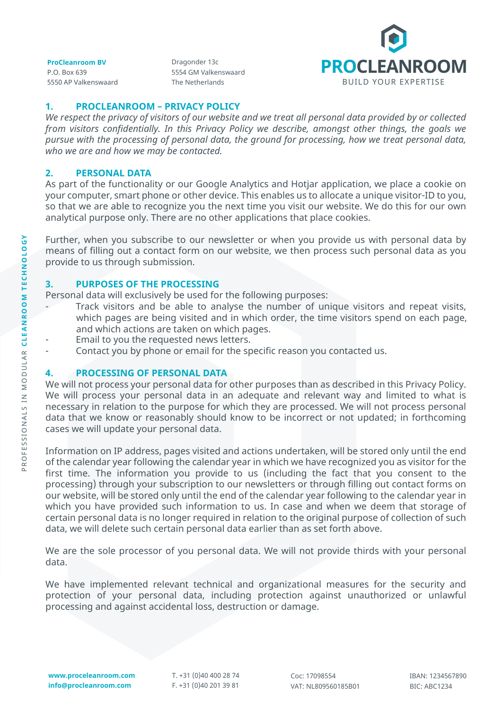**ProCleanroom BV** P.O. Box 639 5550 AP Valkenswaard Dragonder 13c 5554 GM Valkenswaard The Netherlands



## **1. PROCLEANROOM – PRIVACY POLICY**

*We respect the privacy of visitors of our website and we treat all personal data provided by or collected from visitors confidentially. In this Privacy Policy we describe, amongst other things, the goals we pursue with the processing of personal data, the ground for processing, how we treat personal data, who we are and how we may be contacted.*

## **2. PERSONAL DATA**

As part of the functionality or our Google Analytics and Hotjar application, we place a cookie on your computer, smart phone or other device. This enables us to allocate a unique visitor-ID to you, so that we are able to recognize you the next time you visit our website. We do this for our own analytical purpose only. There are no other applications that place cookies.

Further, when you subscribe to our newsletter or when you provide us with personal data by means of filling out a contact form on our website, we then process such personal data as you provide to us through submission.

### **3. PURPOSES OF THE PROCESSING**

Personal data will exclusively be used for the following purposes:

- Track visitors and be able to analyse the number of unique visitors and repeat visits, which pages are being visited and in which order, the time visitors spend on each page, and which actions are taken on which pages.
- Email to you the requested news letters.
- Contact you by phone or email for the specific reason you contacted us.

### **4. PROCESSING OF PERSONAL DATA**

We will not process your personal data for other purposes than as described in this Privacy Policy. We will process your personal data in an adequate and relevant way and limited to what is necessary in relation to the purpose for which they are processed. We will not process personal data that we know or reasonably should know to be incorrect or not updated; in forthcoming cases we will update your personal data.

Information on IP address, pages visited and actions undertaken, will be stored only until the end of the calendar year following the calendar year in which we have recognized you as visitor for the first time. The information you provide to us (including the fact that you consent to the processing) through your subscription to our newsletters or through filling out contact forms on our website, will be stored only until the end of the calendar year following to the calendar year in which you have provided such information to us. In case and when we deem that storage of certain personal data is no longer required in relation to the original purpose of collection of such data, we will delete such certain personal data earlier than as set forth above.

We are the sole processor of you personal data. We will not provide thirds with your personal data.

We have implemented relevant technical and organizational measures for the security and protection of your personal data, including protection against unauthorized or unlawful processing and against accidental loss, destruction or damage.